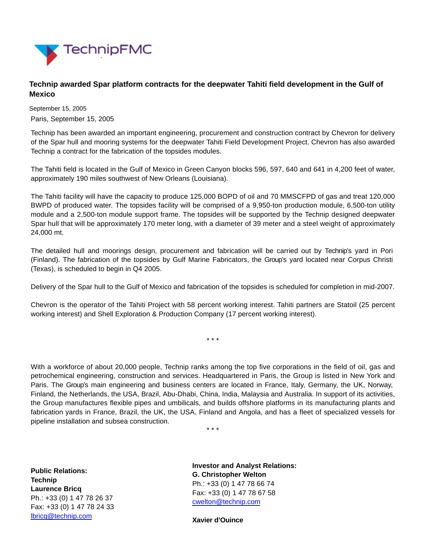

## **Technip awarded Spar platform contracts for the deepwater Tahiti field development in the Gulf of Mexico**

September 15, 2005 Paris, September 15, 2005

Technip has been awarded an important engineering, procurement and construction contract by Chevron for delivery of the Spar hull and mooring systems for the deepwater Tahiti Field Development Project. Chevron has also awarded Technip a contract for the fabrication of the topsides modules.

The Tahiti field is located in the Gulf of Mexico in Green Canyon blocks 596, 597, 640 and 641 in 4,200 feet of water, approximately 190 miles southwest of New Orleans (Louisiana).

The Tahiti facility will have the capacity to produce 125,000 BOPD of oil and 70 MMSCFPD of gas and treat 120,000 BWPD of produced water. The topsides facility will be comprised of a 9,950-ton production module, 6,500-ton utility module and a 2,500-ton module support frame. The topsides will be supported by the Technip designed deepwater Spar hull that will be approximately 170 meter long, with a diameter of 39 meter and a steel weight of approximately 24,000 mt.

The detailed hull and moorings design, procurement and fabrication will be carried out by Technip's yard in Pori (Finland). The fabrication of the topsides by Gulf Marine Fabricators, the Group's yard located near Corpus Christi (Texas), is scheduled to begin in Q4 2005.

Delivery of the Spar hull to the Gulf of Mexico and fabrication of the topsides is scheduled for completion in mid-2007.

Chevron is the operator of the Tahiti Project with 58 percent working interest. Tahiti partners are Statoil (25 percent working interest) and Shell Exploration & Production Company (17 percent working interest).

\* \* \*

With a workforce of about 20,000 people, Technip ranks among the top five corporations in the field of oil, gas and petrochemical engineering, construction and services. Headquartered in Paris, the Group is listed in New York and Paris. The Group's main engineering and business centers are located in France, Italy, Germany, the UK, Norway, Finland, the Netherlands, the USA, Brazil, Abu-Dhabi, China, India, Malaysia and Australia. In support of its activities, the Group manufactures flexible pipes and umbilicals, and builds offshore platforms in its manufacturing plants and fabrication yards in France, Brazil, the UK, the USA, Finland and Angola, and has a fleet of specialized vessels for pipeline installation and subsea construction.

\* \* \*

**Public Relations: Technip Laurence Bricq** Ph.: +33 (0) 1 47 78 26 37 Fax: +33 (0) 1 47 78 24 33 [lbricq@technip.com](mailto:lbricq@technip.com)

**Investor and Analyst Relations: G. Christopher Welton** Ph.: +33 (0) 1 47 78 66 74 Fax: +33 (0) 1 47 78 67 58 [cwelton@technip.com](mailto:daguez@technip.com)

**Xavier d'Ouince**